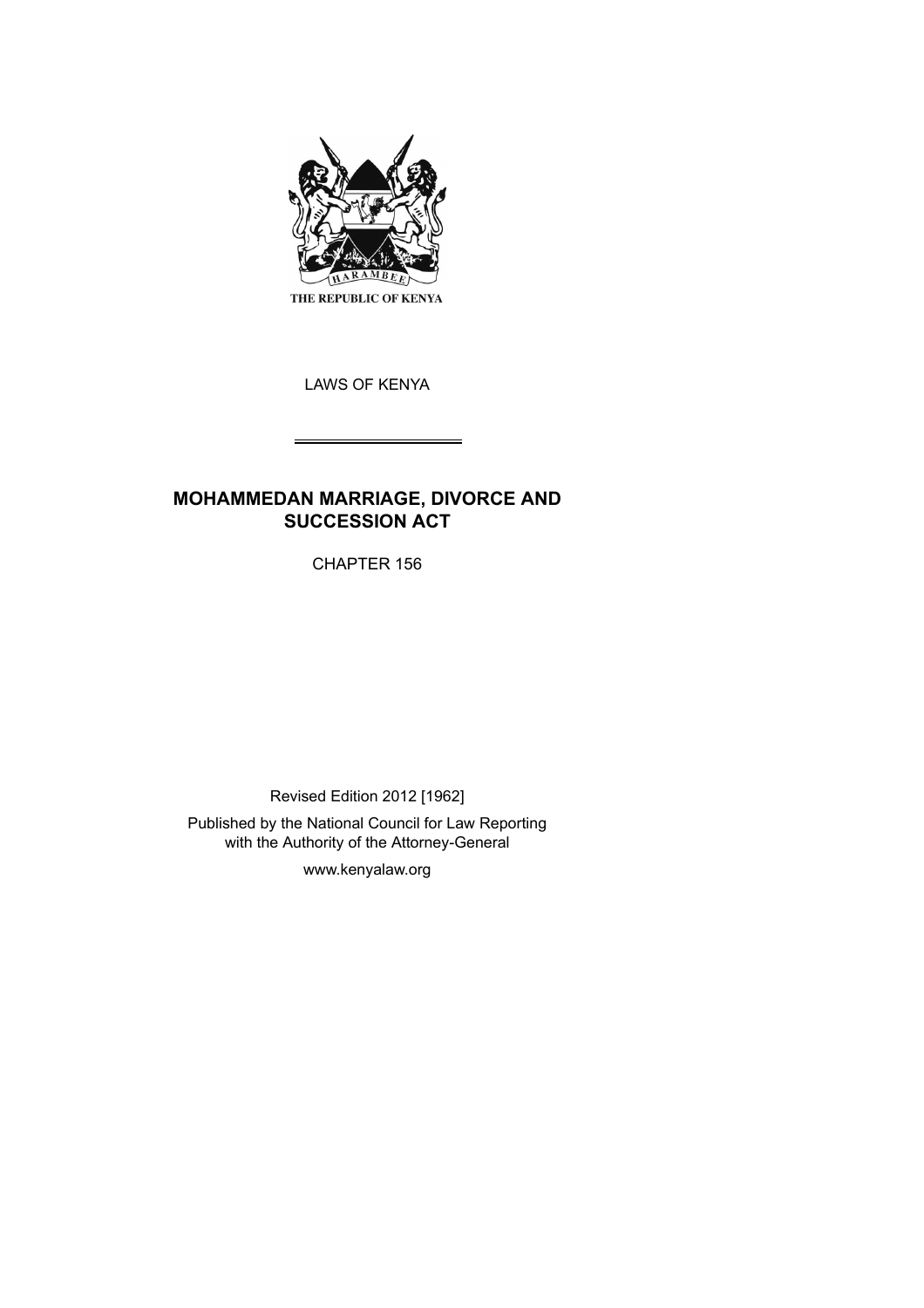

THE REPUBLIC OF KENYA

LAWS OF KENYA

# **MOHAMMEDAN MARRIAGE, DIVORCE AND SUCCESSION ACT**

CHAPTER 156

Revised Edition 2012 [1962]

Published by the National Council for Law Reporting with the Authority of the Attorney-General

www.kenyalaw.org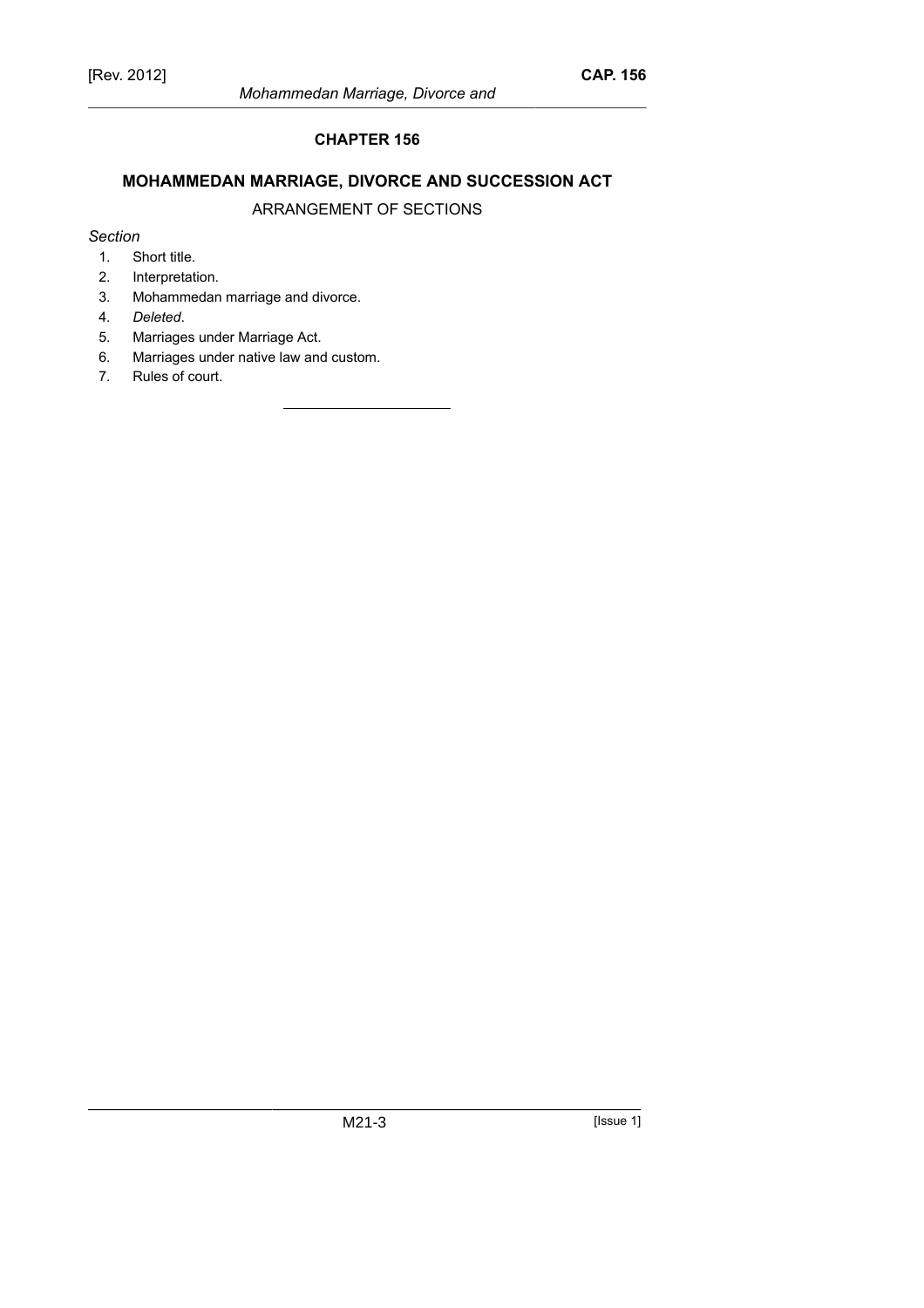### **CHAPTER 156**

## **MOHAMMEDAN MARRIAGE, DIVORCE AND SUCCESSION ACT**

# ARRANGEMENT OF SECTIONS

### *Section*

- 1. Short title.
- 2. Interpretation.
- 3. Mohammedan marriage and divorce.
- 4. *Deleted*.
- 5. Marriages under Marriage Act.
- 6. Marriages under native law and custom.
- 7. Rules of court.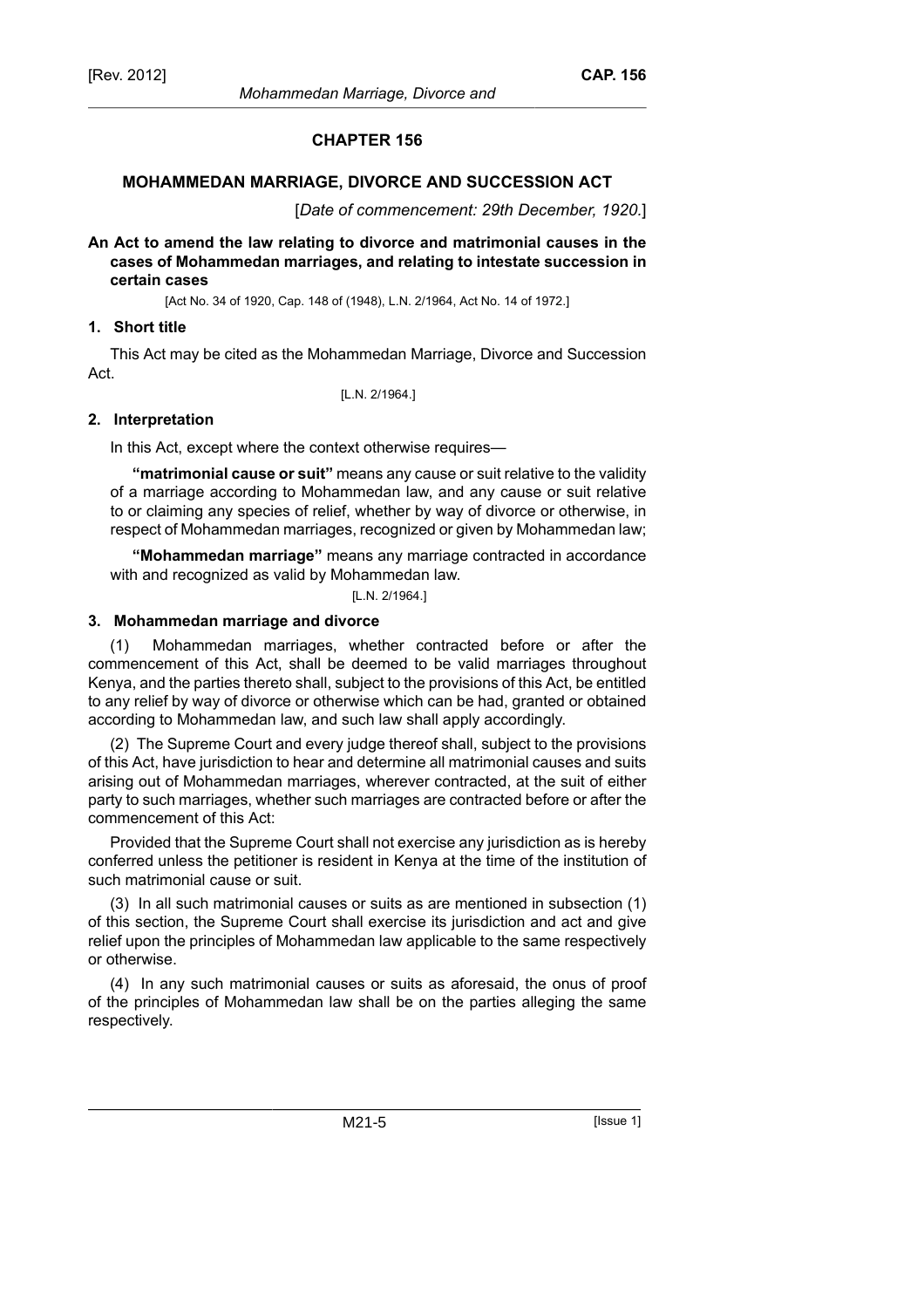### **CHAPTER 156**

#### **MOHAMMEDAN MARRIAGE, DIVORCE AND SUCCESSION ACT**

[*Date of commencement: 29th December, 1920.*]

#### **An Act to amend the law relating to divorce and matrimonial causes in the cases of Mohammedan marriages, and relating to intestate succession in certain cases**

[Act No. 34 of 1920, Cap. 148 of (1948), L.N. 2/1964, Act No. 14 of 1972.]

#### **1. Short title**

This Act may be cited as the Mohammedan Marriage, Divorce and Succession Act.

[L.N. 2/1964.]

#### **2. Interpretation**

In this Act, except where the context otherwise requires—

**"matrimonial cause or suit"** means any cause or suit relative to the validity of a marriage according to Mohammedan law, and any cause or suit relative to or claiming any species of relief, whether by way of divorce or otherwise, in respect of Mohammedan marriages, recognized or given by Mohammedan law;

**"Mohammedan marriage"** means any marriage contracted in accordance with and recognized as valid by Mohammedan law.

[L.N. 2/1964.]

#### **3. Mohammedan marriage and divorce**

(1) Mohammedan marriages, whether contracted before or after the commencement of this Act, shall be deemed to be valid marriages throughout Kenya, and the parties thereto shall, subject to the provisions of this Act, be entitled to any relief by way of divorce or otherwise which can be had, granted or obtained according to Mohammedan law, and such law shall apply accordingly.

(2) The Supreme Court and every judge thereof shall, subject to the provisions of this Act, have jurisdiction to hear and determine all matrimonial causes and suits arising out of Mohammedan marriages, wherever contracted, at the suit of either party to such marriages, whether such marriages are contracted before or after the commencement of this Act:

Provided that the Supreme Court shall not exercise any jurisdiction as is hereby conferred unless the petitioner is resident in Kenya at the time of the institution of such matrimonial cause or suit.

(3) In all such matrimonial causes or suits as are mentioned in subsection (1) of this section, the Supreme Court shall exercise its jurisdiction and act and give relief upon the principles of Mohammedan law applicable to the same respectively or otherwise.

(4) In any such matrimonial causes or suits as aforesaid, the onus of proof of the principles of Mohammedan law shall be on the parties alleging the same respectively.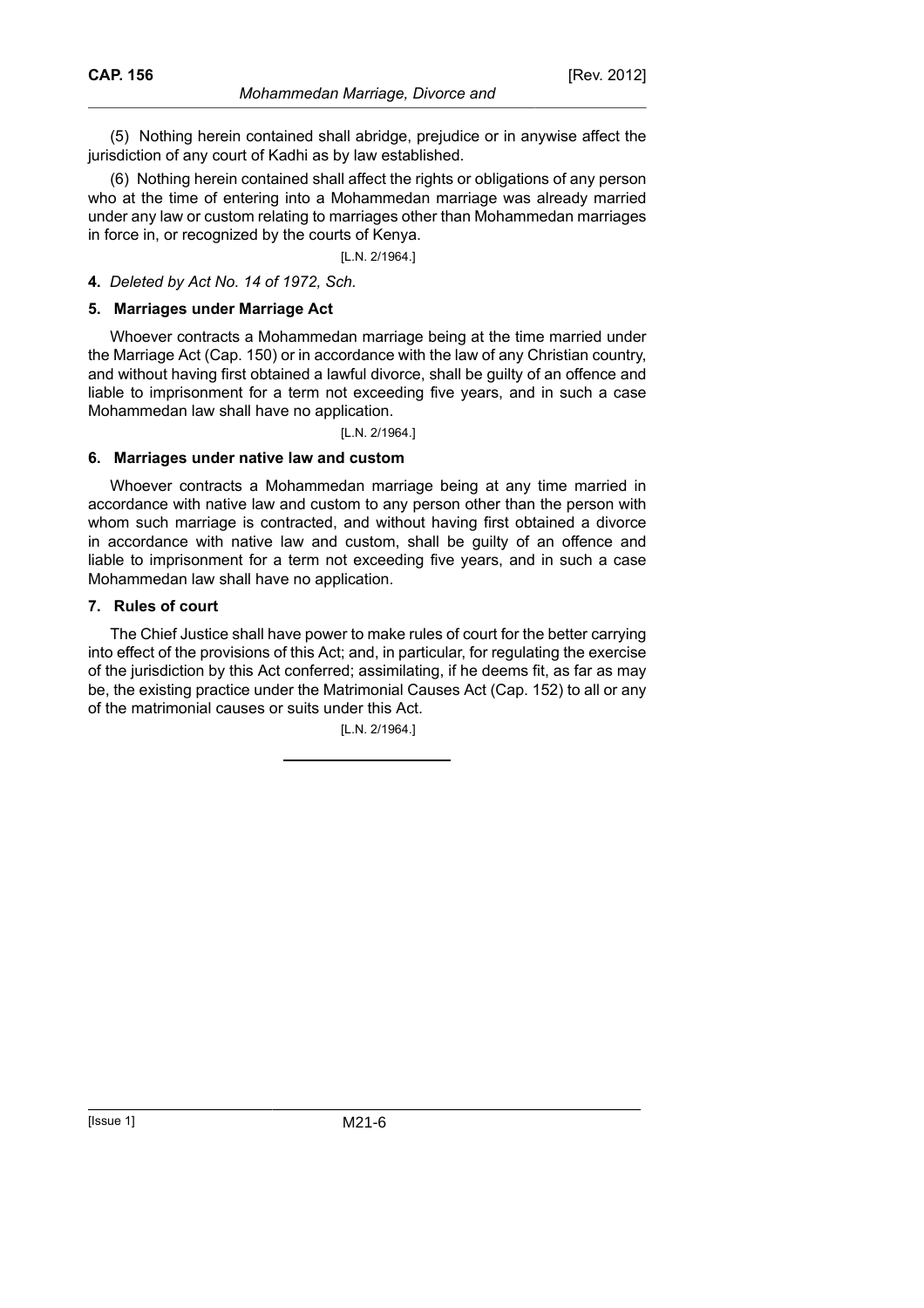[Rev. 2012]

(5) Nothing herein contained shall abridge, prejudice or in anywise affect the jurisdiction of any court of Kadhi as by law established.

(6) Nothing herein contained shall affect the rights or obligations of any person who at the time of entering into a Mohammedan marriage was already married under any law or custom relating to marriages other than Mohammedan marriages in force in, or recognized by the courts of Kenya.

[L.N. 2/1964.]

**4.** *Deleted by Act No. 14 of 1972, Sch.*

#### **5. Marriages under Marriage Act**

Whoever contracts a Mohammedan marriage being at the time married under the Marriage Act (Cap. 150) or in accordance with the law of any Christian country, and without having first obtained a lawful divorce, shall be guilty of an offence and liable to imprisonment for a term not exceeding five years, and in such a case Mohammedan law shall have no application.

[L.N. 2/1964.]

### **6. Marriages under native law and custom**

Whoever contracts a Mohammedan marriage being at any time married in accordance with native law and custom to any person other than the person with whom such marriage is contracted, and without having first obtained a divorce in accordance with native law and custom, shall be guilty of an offence and liable to imprisonment for a term not exceeding five years, and in such a case Mohammedan law shall have no application.

#### **7. Rules of court**

The Chief Justice shall have power to make rules of court for the better carrying into effect of the provisions of this Act; and, in particular, for regulating the exercise of the jurisdiction by this Act conferred; assimilating, if he deems fit, as far as may be, the existing practice under the Matrimonial Causes Act (Cap. 152) to all or any of the matrimonial causes or suits under this Act.

[L.N. 2/1964.]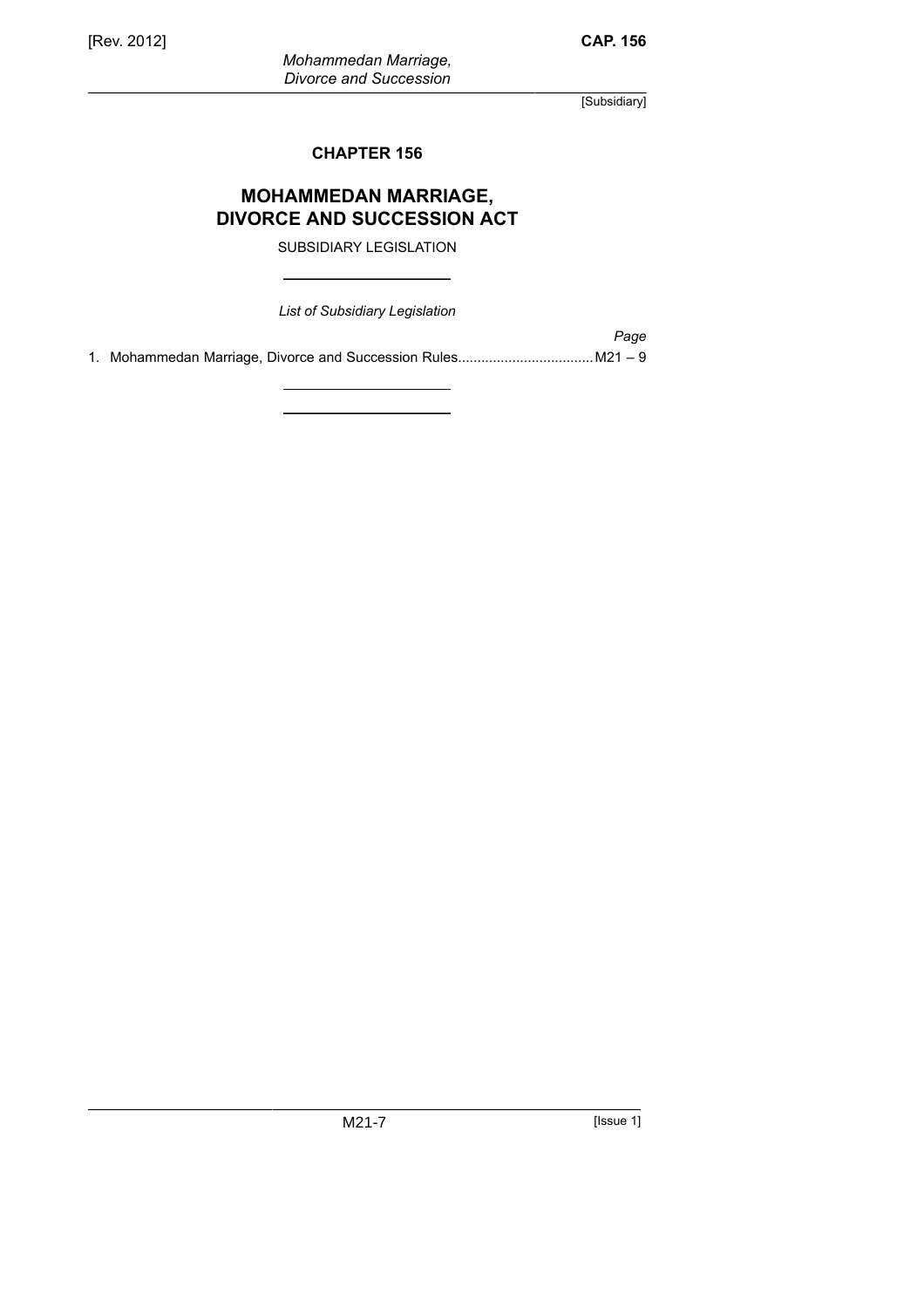[Subsidiary]

*Page*

## **CHAPTER 156**

# **MOHAMMEDAN MARRIAGE, DIVORCE AND SUCCESSION ACT**

SUBSIDIARY LEGISLATION

*List of Subsidiary Legislation*

1. Mohammedan Marriage, Divorce and Succession Rules...................................M21 – 9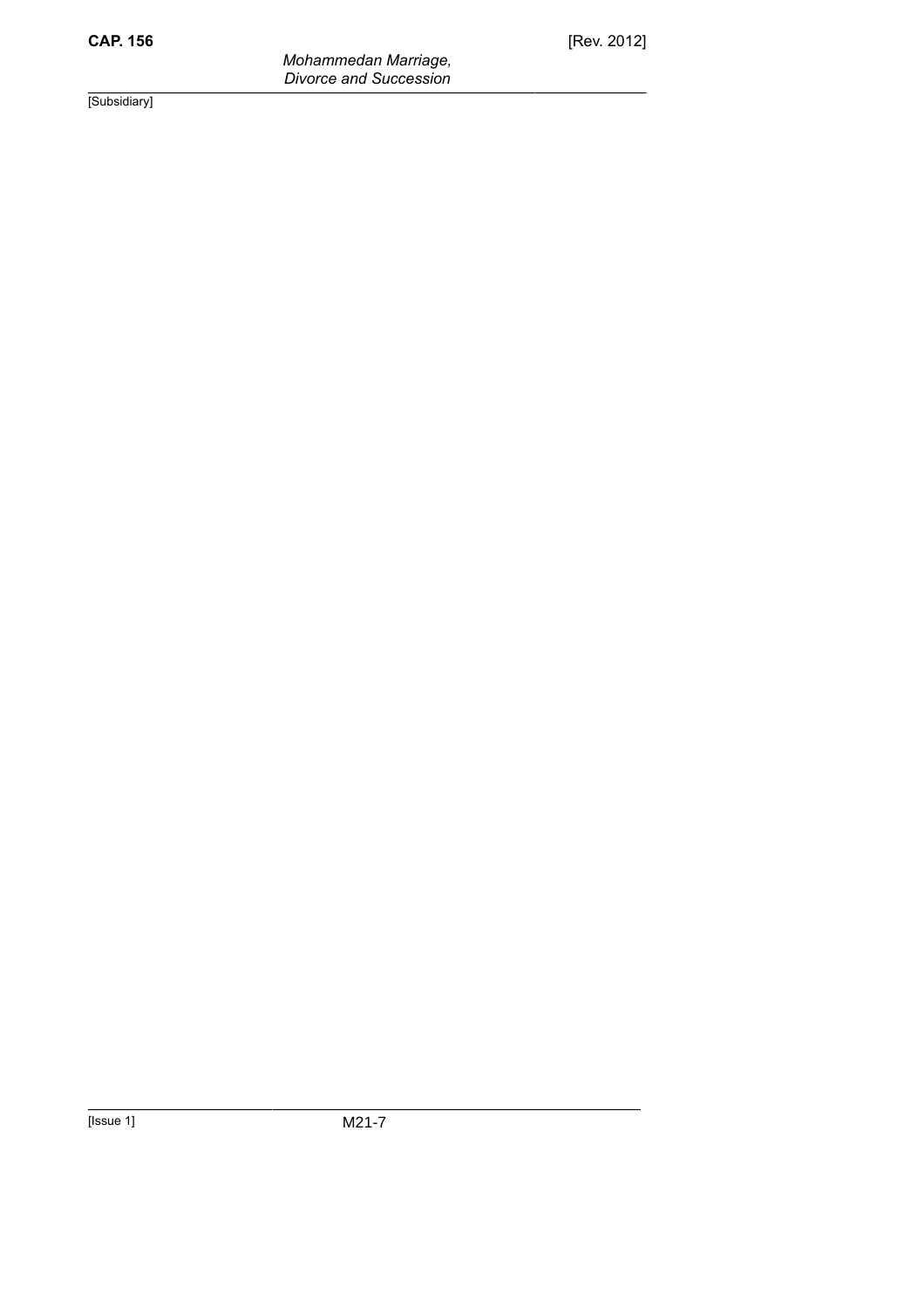[Rev. 2012]

[Subsidiary]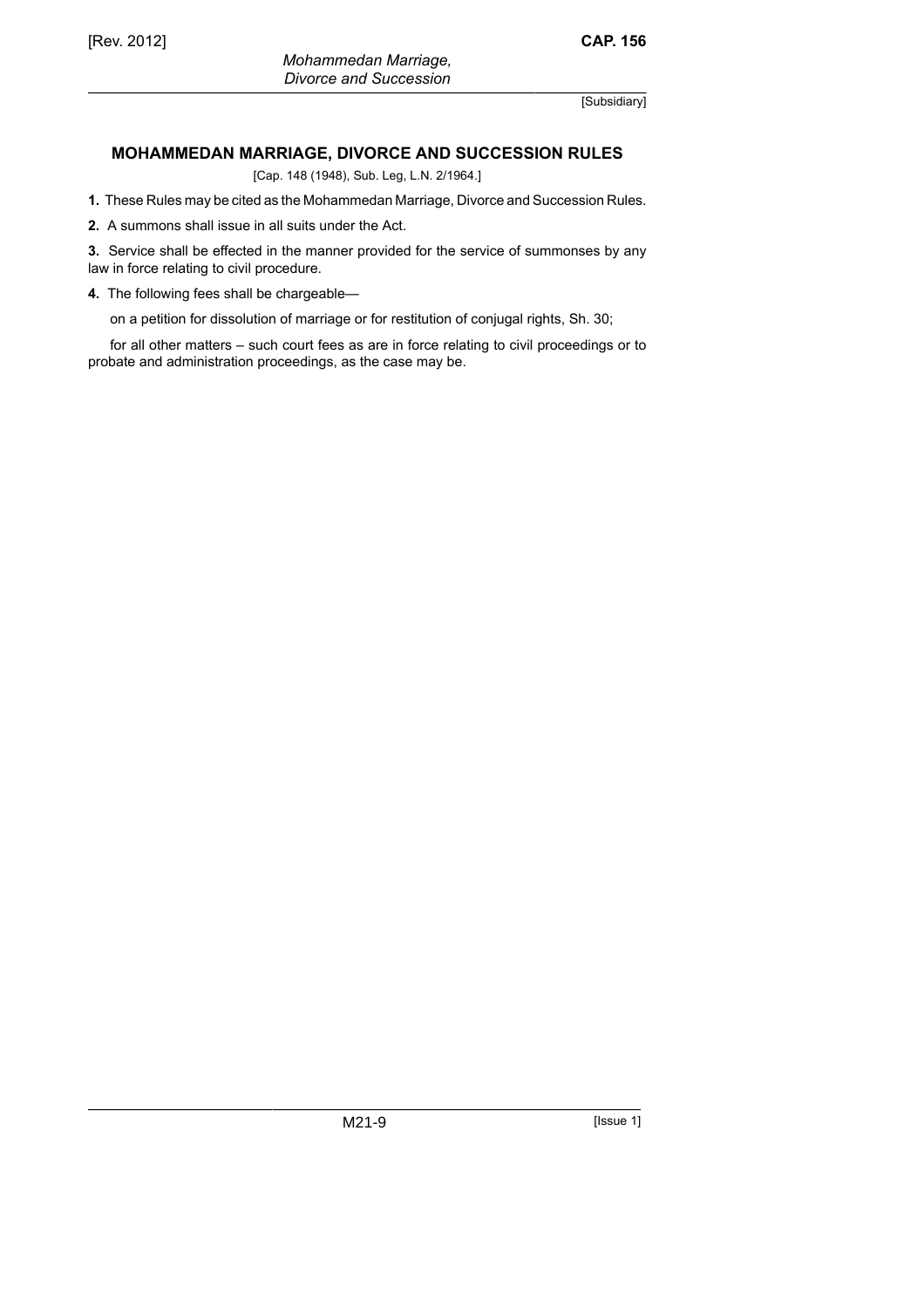[Subsidiary]

## **MOHAMMEDAN MARRIAGE, DIVORCE AND SUCCESSION RULES**

[Cap. 148 (1948), Sub. Leg, L.N. 2/1964.]

**1.** These Rules may be cited as the Mohammedan Marriage, Divorce and Succession Rules.

**2.** A summons shall issue in all suits under the Act.

**3.** Service shall be effected in the manner provided for the service of summonses by any law in force relating to civil procedure.

**4.** The following fees shall be chargeable—

on a petition for dissolution of marriage or for restitution of conjugal rights, Sh. 30;

for all other matters – such court fees as are in force relating to civil proceedings or to probate and administration proceedings, as the case may be.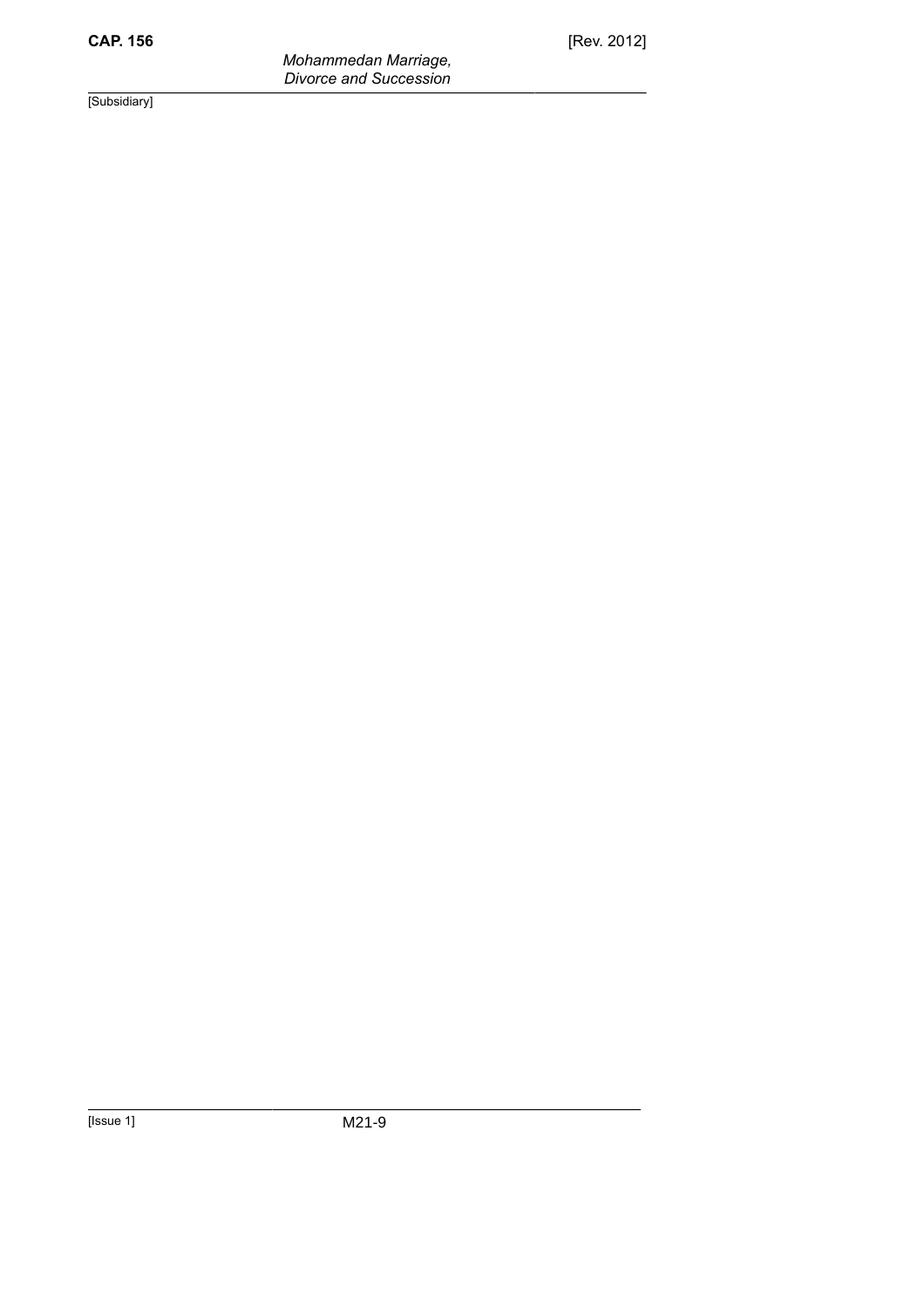[Subsidiary]